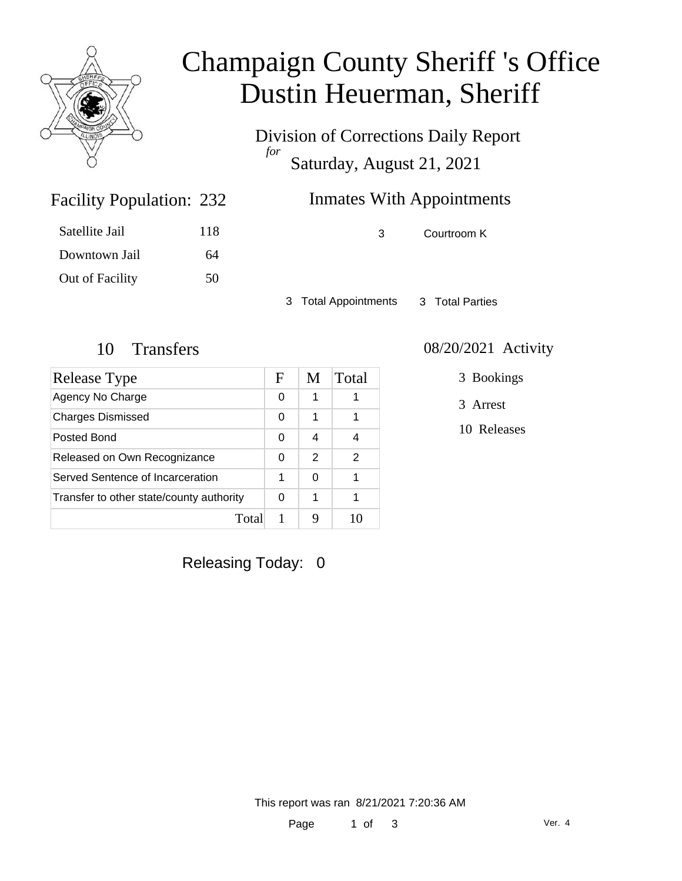

# Champaign County Sheriff 's Office Dustin Heuerman, Sheriff

Division of Corrections Daily Report *for* Saturday, August 21, 2021

### Inmates With Appointments

3 Courtroom K

Satellite Jail 118 Downtown Jail 64 Out of Facility 50

Facility Population: 232

3 Total Appointments 3 Total Parties

| Release Type                             | F | M | Total |
|------------------------------------------|---|---|-------|
| Agency No Charge                         | 0 | 1 |       |
| <b>Charges Dismissed</b>                 | 0 | 1 |       |
| Posted Bond                              | 0 | 4 |       |
| Released on Own Recognizance             | 0 | 2 | 2     |
| Served Sentence of Incarceration         | 1 | 0 |       |
| Transfer to other state/county authority | 0 | 1 |       |
| Total                                    |   |   |       |

#### 10 Transfers 08/20/2021 Activity

3 Bookings

3 Arrest

10 Releases

Releasing Today: 0

This report was ran 8/21/2021 7:20:36 AM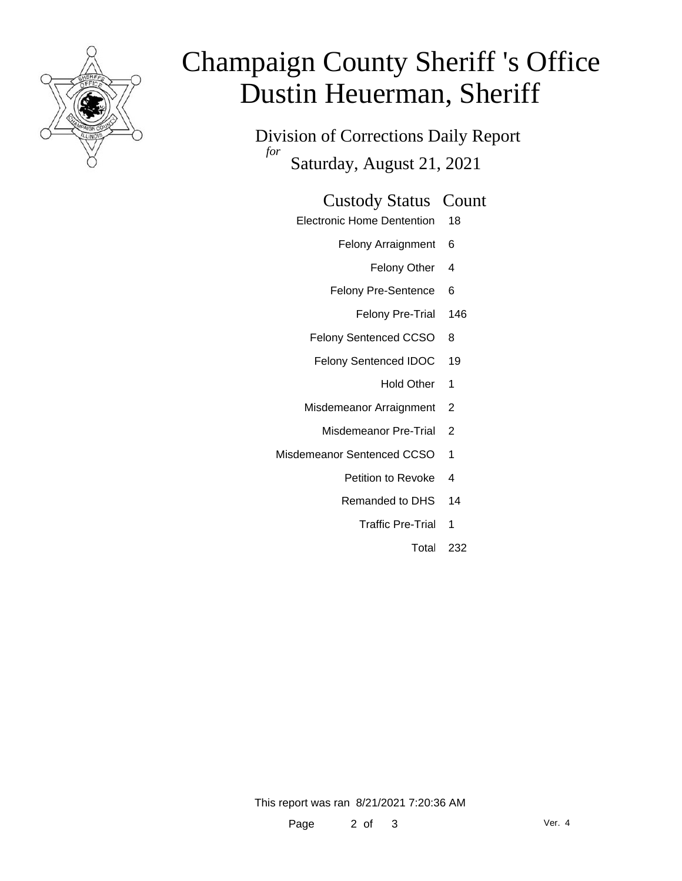

# Champaign County Sheriff 's Office Dustin Heuerman, Sheriff

Division of Corrections Daily Report *for* Saturday, August 21, 2021

#### Custody Status Count

- Electronic Home Dentention 18
	- Felony Arraignment 6
		- Felony Other 4
	- Felony Pre-Sentence 6
		- Felony Pre-Trial 146
	- Felony Sentenced CCSO 8
	- Felony Sentenced IDOC 19
		- Hold Other 1
	- Misdemeanor Arraignment 2
		- Misdemeanor Pre-Trial 2
- Misdemeanor Sentenced CCSO 1
	- Petition to Revoke 4
	- Remanded to DHS 14
		- Traffic Pre-Trial 1
			- Total 232

This report was ran 8/21/2021 7:20:36 AM